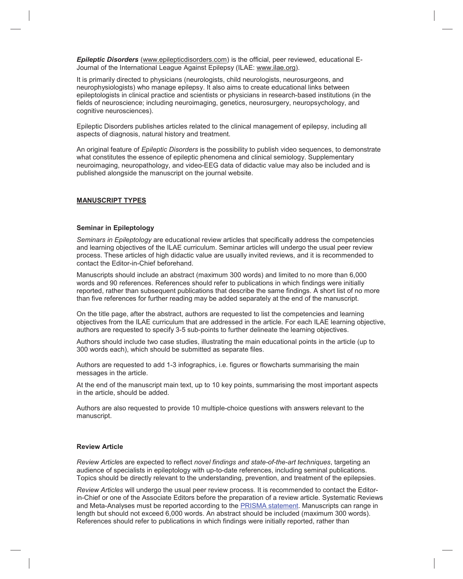*Epileptic Disorders* (www.epilepticdisorders.com) is the official, peer reviewed, educational E-Journal of the International League Against Epilepsy (ILAE: www.ilae.org).

It is primarily directed to physicians (neurologists, child neurologists, neurosurgeons, and neurophysiologists) who manage epilepsy. It also aims to create educational links between epileptologists in clinical practice and scientists or physicians in research-based institutions (in the fields of neuroscience; including neuroimaging, genetics, neurosurgery, neuropsychology, and cognitive neurosciences).

Epileptic Disorders publishes articles related to the clinical management of epilepsy, including all aspects of diagnosis, natural history and treatment.

An original feature of *Epileptic Disorders* is the possibility to publish video sequences, to demonstrate what constitutes the essence of epileptic phenomena and clinical semiology. Supplementary neuroimaging, neuropathology, and video-EEG data of didactic value may also be included and is published alongside the manuscript on the journal website.

#### **MANUSCRIPT TYPES**

#### **Seminar in Epileptology**

*Seminars in Epileptology* are educational review articles that specifically address the competencies and learning objectives of the ILAE curriculum. Seminar articles will undergo the usual peer review process. These articles of high didactic value are usually invited reviews, and it is recommended to contact the Editor-in-Chief beforehand.

Manuscripts should include an abstract (maximum 300 words) and limited to no more than 6,000 words and 90 references. References should refer to publications in which findings were initially reported, rather than subsequent publications that describe the same findings. A short list of no more than five references for further reading may be added separately at the end of the manuscript.

On the title page, after the abstract, authors are requested to list the competencies and learning objectives from the ILAE curriculum that are addressed in the article. For each ILAE learning objective, authors are requested to specify 3-5 sub-points to further delineate the learning objectives.

Authors should include two case studies, illustrating the main educational points in the article (up to 300 words each), which should be submitted as separate files.

Authors are requested to add 1-3 infographics, i.e. figures or flowcharts summarising the main messages in the article.

At the end of the manuscript main text, up to 10 key points, summarising the most important aspects in the article, should be added.

Authors are also requested to provide 10 multiple-choice questions with answers relevant to the manuscript.

#### **Review Article**

*Review Article*s are expected to reflect *novel findings and state-of-the-art techniques*, targeting an audience of specialists in epileptology with up-to-date references, including seminal publications. Topics should be directly relevant to the understanding, prevention, and treatment of the epilepsies.

*Review Articles* will undergo the usual peer review process. It is recommended to contact the Editorin-Chief or one of the Associate Editors before the preparation of a review article. Systematic Reviews and Meta-Analyses must be reported according to the PRISMA statement. Manuscripts can range in length but should not exceed 6,000 words. An abstract should be included (maximum 300 words). References should refer to publications in which findings were initially reported, rather than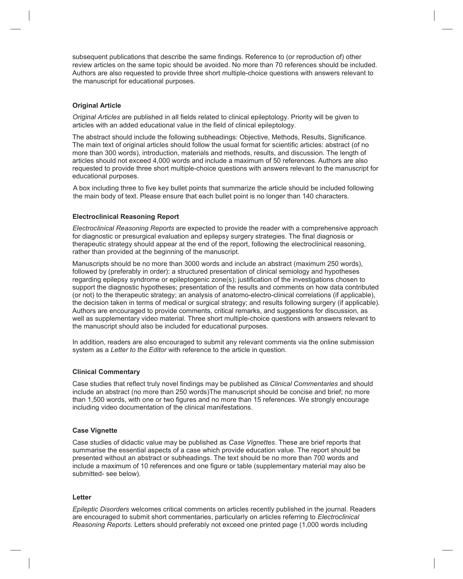subsequent publications that describe the same findings. Reference to (or reproduction of) other review articles on the same topic should be avoided. No more than 70 references should be included. Authors are also requested to provide three short multiple-choice questions with answers relevant to the manuscript for educational purposes.

# **Original Article**

*Original Articles* are published in all fields related to clinical epileptology. Priority will be given to articles with an added educational value in the field of clinical epileptology.

The abstract should include the following subheadings: Objective, Methods, Results, Significance. The main text of original articles should follow the usual format for scientific articles: abstract (of no more than 300 words), introduction, materials and methods, results, and discussion. The length of articles should not exceed 4,000 words and include a maximum of 50 references. Authors are also requested to provide three short multiple-choice questions with answers relevant to the manuscript for educational purposes.

A box including three to five key bullet points that summarize the article should be included following the main body of text. Please ensure that each bullet point is no longer than 140 characters.

## **Electroclinical Reasoning Report**

*Electroclinical Reasoning Reports* are expected to provide the reader with a comprehensive approach for diagnostic or presurgical evaluation and epilepsy surgery strategies. The final diagnosis or therapeutic strategy should appear at the end of the report, following the electroclinical reasoning, rather than provided at the beginning of the manuscript.

Manuscripts should be no more than 3000 words and include an abstract (maximum 250 words), followed by (preferably in order): a structured presentation of clinical semiology and hypotheses regarding epilepsy syndrome or epileptogenic zone(s); justification of the investigations chosen to support the diagnostic hypotheses; presentation of the results and comments on how data contributed (or not) to the therapeutic strategy; an analysis of anatomo-electro-clinical correlations (if applicable), the decision taken in terms of medical or surgical strategy; and results following surgery (if applicable). Authors are encouraged to provide comments, critical remarks, and suggestions for discussion, as well as supplementary video material. Three short multiple-choice questions with answers relevant to the manuscript should also be included for educational purposes.

In addition, readers are also encouraged to submit any relevant comments via the online submission system as a *Letter to the Editor* with reference to the article in question.

## **Clinical Commentary**

Case studies that reflect truly novel findings may be published as *Clinical Commentaries* and should include an abstract (no more than 250 words)The manuscript should be concise and brief; no more than 1,500 words, with one or two figures and no more than 15 references. We strongly encourage including video documentation of the clinical manifestations.

## **Case Vignette**

Case studies of didactic value may be published as *Case Vignettes*. These are brief reports that summarise the essential aspects of a case which provide education value. The report should be presented without an abstract or subheadings. The text should be no more than 700 words and include a maximum of 10 references and one figure or table (supplementary material may also be submitted- see below).

## **Letter**

*Epileptic Disorders* welcomes critical comments on articles recently published in the journal. Readers are encouraged to submit short commentaries, particularly on articles referring to *Electroclinical Reasoning Reports*. Letters should preferably not exceed one printed page (1,000 words including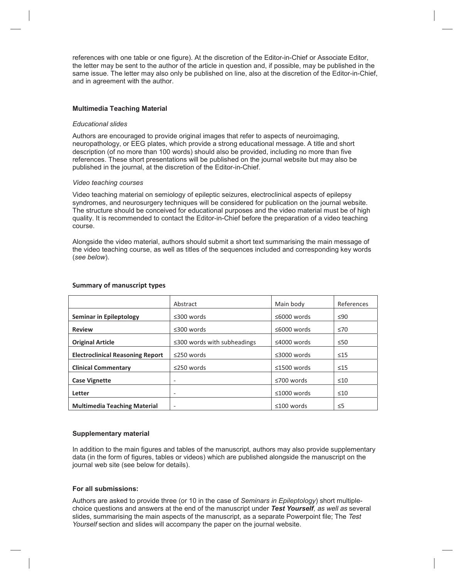references with one table or one figure). At the discretion of the Editor-in-Chief or Associate Editor, the letter may be sent to the author of the article in question and, if possible, may be published in the same issue. The letter may also only be published on line, also at the discretion of the Editor-in-Chief, and in agreement with the author.

#### **Multimedia Teaching Material**

### *Educational slides*

Authors are encouraged to provide original images that refer to aspects of neuroimaging, neuropathology, or EEG plates, which provide a strong educational message. A title and short description (of no more than 100 words) should also be provided, including no more than five references. These short presentations will be published on the journal website but may also be published in the journal, at the discretion of the Editor-in-Chief.

### *Video teaching courses*

Video teaching material on semiology of epileptic seizures, electroclinical aspects of epilepsy syndromes, and neurosurgery techniques will be considered for publication on the journal website. The structure should be conceived for educational purposes and the video material must be of high quality. It is recommended to contact the Editor-in-Chief before the preparation of a video teaching course.

Alongside the video material, authors should submit a short text summarising the main message of the video teaching course, as well as titles of the sequences included and corresponding key words (*see below*).

|                                         | Abstract                          | Main body         | References |
|-----------------------------------------|-----------------------------------|-------------------|------------|
| <b>Seminar in Epileptology</b>          | $\leq$ 300 words                  | ≤6000 words       | $\leq 90$  |
| <b>Review</b>                           | $\leq$ 300 words                  | ≤6000 words       | $\leq 70$  |
| <b>Original Article</b>                 | $\leq$ 300 words with subheadings | $\leq$ 4000 words | $\leq 50$  |
| <b>Electroclinical Reasoning Report</b> | $\leq$ 250 words                  | $\leq$ 3000 words | $\leq 15$  |
| <b>Clinical Commentary</b>              | $\leq$ 250 words                  | $\leq$ 1500 words | $\leq 15$  |
| <b>Case Vignette</b>                    | $\overline{\phantom{a}}$          | $\leq 700$ words  | $\leq 10$  |
| Letter                                  | $\overline{\phantom{a}}$          | $\leq 1000$ words | $\leq 10$  |
| <b>Multimedia Teaching Material</b>     | $\overline{\phantom{a}}$          | $≤100$ words      | $\leq$ 5   |

### **Summary of manuscript types**

## **Supplementary material**

In addition to the main figures and tables of the manuscript, authors may also provide supplementary data (in the form of figures, tables or videos) which are published alongside the manuscript on the journal web site (see below for details).

## **For all submissions:**

Authors are asked to provide three (or 10 in the case of *Seminars in Epileptology*) short multiplechoice questions and answers at the end of the manuscript under *Test Yourself*, as well as several slides, summarising the main aspects of the manuscript, as a separate Powerpoint file; The Test Yourself section and slides will accompany the paper on the journal website.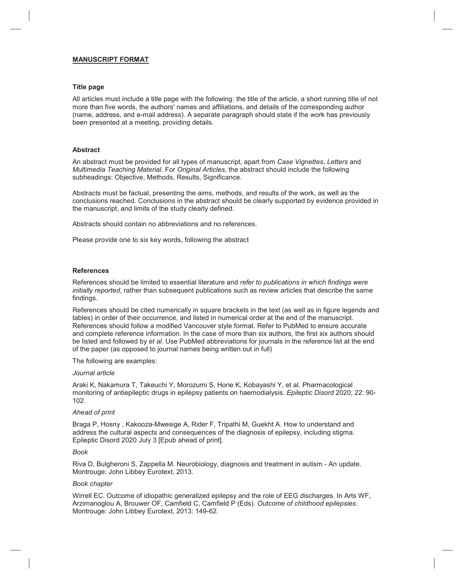## **MANUSCRIPT FORMAT**

### **Title page**

All articles must include a title page with the following: the title of the article, a short running title of not more than five words, the authors' names and affiliations, and details of the corresponding author (name, address, and e-mail address). A separate paragraph should state if the work has previously been presented at a meeting, providing details.

### **Abstract**

An abstract must be provided for all types of manuscript, apart from *Case Vignettes*, *Letters* and *Multimedia Teaching Material*. For *Original Articles*, the abstract should include the following subheadings: Objective, Methods, Results, Significance.

Abstracts must be factual, presenting the aims, methods, and results of the work, as well as the conclusions reached. Conclusions in the abstract should be clearly supported by evidence provided in the manuscript, and limits of the study clearly defined.

Abstracts should contain no abbreviations and no references.

Please provide one to six key words, following the abstract

#### **References**

References should be limited to essential literature and *refer to publications in which findings were initially reported*, rather than subsequent publications such as review articles that describe the same findings.

References should be cited numerically in square brackets in the text (as well as in figure legends and tables) in order of their occurrence, and listed in numerical order at the end of the manuscript. References should follow a modified Vancouver style format. Refer to PubMed to ensure accurate and complete reference information. In the case of more than six authors, the first six authors should be listed and followed by *et al*. Use PubMed abbreviations for journals in the reference list at the end of the paper (as opposed to journal names being written out in full)

The following are examples:

#### *Journal article*

Araki K, Nakamura T, Takeuchi Y, Morozumi S, Horie K, Kobayashi Y, et al. Pharmacological monitoring of antiepileptic drugs in epilepsy patients on haemodialysis. *Epileptic Disord* 2020; 22: 90- 102.

#### *Ahead of print*

Braga P, Hosny , Kakooza-Mwesige A, Rider F, Tripathi M, Guekht A. How to understand and address the cultural aspects and consequences of the diagnosis of epilepsy, including stigma. Epileptic Disord 2020 July 3 [Epub ahead of print].

#### *Book*

Riva D, Bulgheroni S, Zappella M. Neurobiology, diagnosis and treatment in autism - An update. Montrouge: John Libbey Eurotext, 2013.

#### *Book chapter*

Wirrell EC. Outcome of idiopathic generalized epilepsy and the role of EEG discharges. In Arts WF, Arzimanoglou A, Brouwer OF, Camfield C, Camfield P (Eds). *Outcome of childhood epilepsies*. Montrouge: John Libbey Eurotext, 2013: 149-62.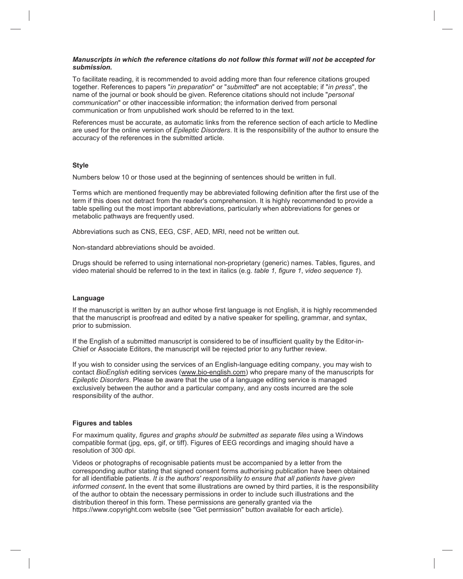### *Manuscripts in which the reference citations do not follow this format will not be accepted for submission.*

To facilitate reading, it is recommended to avoid adding more than four reference citations grouped together. References to papers "*in preparation*" or "*submitted*" are not acceptable; if "*in press*", the name of the journal or book should be given. Reference citations should not include "*personal communication*" or other inaccessible information; the information derived from personal communication or from unpublished work should be referred to in the text.

References must be accurate, as automatic links from the reference section of each article to Medline are used for the online version of *Epileptic Disorders*. It is the responsibility of the author to ensure the accuracy of the references in the submitted article.

# **Style**

Numbers below 10 or those used at the beginning of sentences should be written in full.

Terms which are mentioned frequently may be abbreviated following definition after the first use of the term if this does not detract from the reader's comprehension. It is highly recommended to provide a table spelling out the most important abbreviations, particularly when abbreviations for genes or metabolic pathways are frequently used.

Abbreviations such as CNS, EEG, CSF, AED, MRI, need not be written out.

Non-standard abbreviations should be avoided.

Drugs should be referred to using international non-proprietary (generic) names. Tables, figures, and video material should be referred to in the text in italics (e.g. *table 1, figure 1*, *video sequence 1*).

## **Language**

If the manuscript is written by an author whose first language is not English, it is highly recommended that the manuscript is proofread and edited by a native speaker for spelling, grammar, and syntax, prior to submission.

If the English of a submitted manuscript is considered to be of insufficient quality by the Editor-in-Chief or Associate Editors, the manuscript will be rejected prior to any further review.

If you wish to consider using the services of an English-language editing company, you may wish to contact *BioEnglish* editing services (www.bio-english.com) who prepare many of the manuscripts for *Epileptic Disorders*. Please be aware that the use of a language editing service is managed exclusively between the author and a particular company, and any costs incurred are the sole responsibility of the author.

## **Figures and tables**

For maximum quality, *figures and graphs should be submitted as separate files* using a Windows compatible format (jpg, eps, gif, or tiff). Figures of EEG recordings and imaging should have a resolution of 300 dpi.

Videos or photographs of recognisable patients must be accompanied by a letter from the corresponding author stating that signed consent forms authorising publication have been obtained for all identifiable patients. *It is the authors' responsibility to ensure that all patients have given informed consent***.** In the event that some illustrations are owned by third parties, it is the responsibility of the author to obtain the necessary permissions in order to include such illustrations and the distribution thereof in this form. These permissions are generally granted via the https://www.copyright.com website (see "Get permission" button available for each article).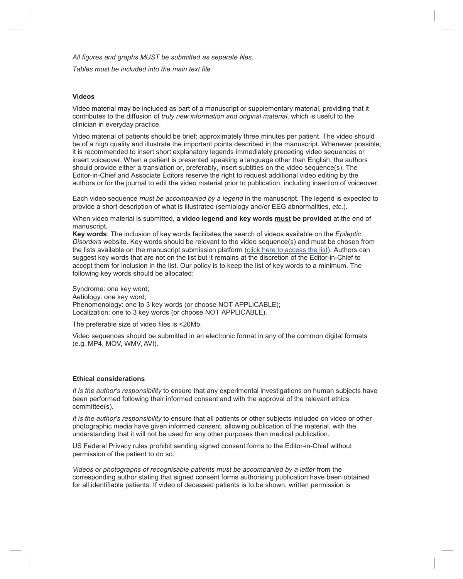*All figures and graphs MUST be submitted as separate files.* 

*Tables must be included into the main text file.*

## **Videos**

Video material may be included as part of a manuscript or supplementary material, providing that it contributes to the diffusion of *truly new information and original material*, which is useful to the clinician in everyday practice.

Video material of patients should be brief; approximately three minutes per patient. The video should be of a high quality and illustrate the important points described in the manuscript. Whenever possible, it is recommended to insert short explanatory legends immediately preceding video sequences or insert voiceover. When a patient is presented speaking a language other than English, the authors should provide either a translation or, preferably, insert subtitles on the video sequence(s). The Editor-in-Chief and Associate Editors reserve the right to request additional video editing by the authors or for the journal to edit the video material prior to publication, including insertion of voiceover.

Each video sequence *must be accompanied by a legend* in the manuscript. The legend is expected to provide a short description of what is illustrated (semiology and/or EEG abnormalities, *etc*.).

When video material is submitted, **a video legend and key words must be provided** at the end of manuscript.

**Key words**: The inclusion of key words facilitates the search of videos available on the *Epileptic Disorders* website. Key words should be relevant to the video sequence(s) and must be chosen from the lists available on the manuscript submission platform (click here to access the list). Authors can suggest key words that are not on the list but it remains at the discretion of the Editor-in-Chief to accept them for inclusion in the list. Our policy is to keep the list of key words to a minimum. The following key words should be allocated:

Syndrome: one key word; Aetiology: one key word; Phenomenology: one to 3 key words (or choose NOT APPLICABLE); Localization: one to 3 key words (or choose NOT APPLICABLE).

The preferable size of video files is <20Mb.

Video sequences should be submitted in an electronic format in any of the common digital formats (e.g. MP4, MOV, WMV, AVI).

## **Ethical considerations**

*It is the author's responsibility* to ensure that any experimental investigations on human subjects have been performed following their informed consent and with the approval of the relevant ethics committee(s).

*It is the author's responsibility* to ensure that all patients or other subjects included on video or other photographic media have given informed consent, allowing publication of the material, with the understanding that it will not be used for any other purposes than medical publication.

US Federal Privacy rules prohibit sending signed consent forms to the Editor-in-Chief without permission of the patient to do so.

*Videos or photographs of recognisable patients must be accompanied by a letter* from the corresponding author stating that signed consent forms authorising publication have been obtained for all identifiable patients. If video of deceased patients is to be shown, written permission is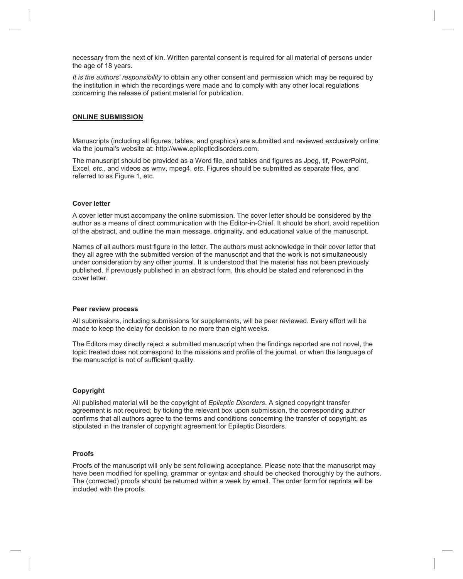necessary from the next of kin. Written parental consent is required for all material of persons under the age of 18 years.

*It is the authors' responsibility* to obtain any other consent and permission which may be required by the institution in which the recordings were made and to comply with any other local regulations concerning the release of patient material for publication.

#### **ONLINE SUBMISSION**

Manuscripts (including all figures, tables, and graphics) are submitted and reviewed exclusively online via the journal's website at: http://www.epilepticdisorders.com.

The manuscript should be provided as a Word file, and tables and figures as Jpeg, tif, PowerPoint, Excel, *etc*., and videos as wmv, mpeg4, *etc*. Figures should be submitted as separate files, and referred to as Figure 1, etc.

#### **Cover letter**

A cover letter must accompany the online submission. The cover letter should be considered by the author as a means of direct communication with the Editor-in-Chief. It should be short, avoid repetition of the abstract, and outline the main message, originality, and educational value of the manuscript.

Names of all authors must figure in the letter. The authors must acknowledge in their cover letter that they all agree with the submitted version of the manuscript and that the work is not simultaneously under consideration by any other journal. It is understood that the material has not been previously published. If previously published in an abstract form, this should be stated and referenced in the cover letter.

#### **Peer review process**

All submissions, including submissions for supplements, will be peer reviewed. Every effort will be made to keep the delay for decision to no more than eight weeks.

The Editors may directly reject a submitted manuscript when the findings reported are not novel, the topic treated does not correspond to the missions and profile of the journal, or when the language of the manuscript is not of sufficient quality.

#### **Copyright**

All published material will be the copyright of *Epileptic Disorders*. A signed copyright transfer agreement is not required; by ticking the relevant box upon submission, the corresponding author confirms that all authors agree to the terms and conditions concerning the transfer of copyright, as stipulated in the transfer of copyright agreement for Epileptic Disorders.

#### **Proofs**

Proofs of the manuscript will only be sent following acceptance. Please note that the manuscript may have been modified for spelling, grammar or syntax and should be checked thoroughly by the authors. The (corrected) proofs should be returned within a week by email. The order form for reprints will be included with the proofs.